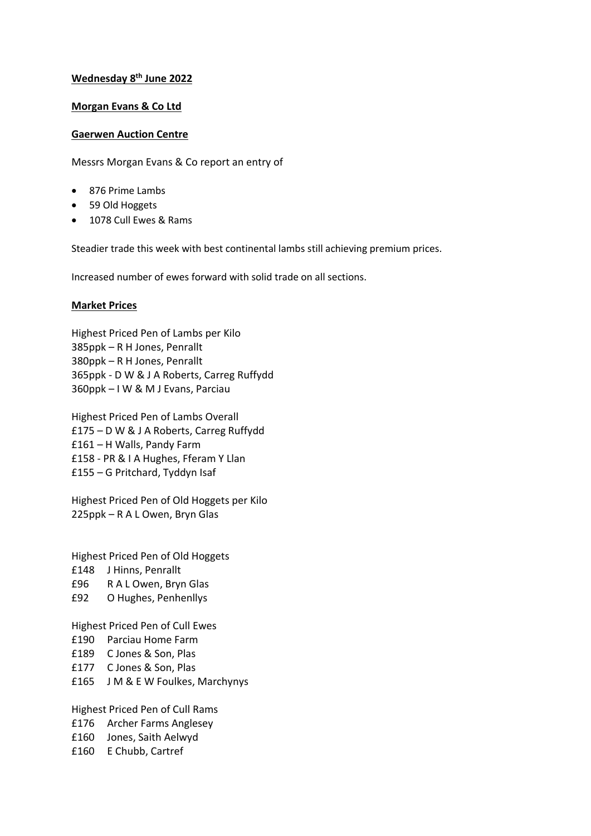## **Wednesday 8 th June 2022**

## **Morgan Evans & Co Ltd**

## **Gaerwen Auction Centre**

Messrs Morgan Evans & Co report an entry of

- 876 Prime Lambs
- 59 Old Hoggets
- 1078 Cull Ewes & Rams

Steadier trade this week with best continental lambs still achieving premium prices.

Increased number of ewes forward with solid trade on all sections.

## **Market Prices**

Highest Priced Pen of Lambs per Kilo 385ppk – R H Jones, Penrallt 380ppk – R H Jones, Penrallt 365ppk - D W & J A Roberts, Carreg Ruffydd 360ppk – I W & M J Evans, Parciau

Highest Priced Pen of Lambs Overall £175 – D W & J A Roberts, Carreg Ruffydd £161 – H Walls, Pandy Farm £158 - PR & I A Hughes, Fferam Y Llan £155 – G Pritchard, Tyddyn Isaf

Highest Priced Pen of Old Hoggets per Kilo 225ppk – R A L Owen, Bryn Glas

Highest Priced Pen of Old Hoggets £148 J Hinns, Penrallt £96 R A L Owen, Bryn Glas £92 O Hughes, Penhenllys

Highest Priced Pen of Cull Ewes £190 Parciau Home Farm £189 C Jones & Son, Plas £177 C Jones & Son, Plas £165 J M & E W Foulkes, Marchynys

Highest Priced Pen of Cull Rams £176 Archer Farms Anglesey £160 Jones, Saith Aelwyd £160 E Chubb, Cartref